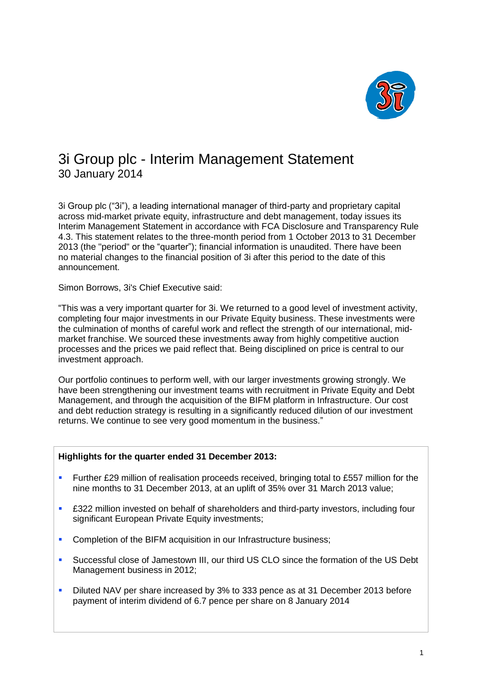

# 3i Group plc - Interim Management Statement 30 January 2014

3i Group plc ("3i"), a leading international manager of third-party and proprietary capital across mid-market private equity, infrastructure and debt management, today issues its Interim Management Statement in accordance with FCA Disclosure and Transparency Rule 4.3. This statement relates to the three-month period from 1 October 2013 to 31 December 2013 (the "period" or the "quarter"); financial information is unaudited. There have been no material changes to the financial position of 3i after this period to the date of this announcement.

Simon Borrows, 3i's Chief Executive said:

"This was a very important quarter for 3i. We returned to a good level of investment activity, completing four major investments in our Private Equity business. These investments were the culmination of months of careful work and reflect the strength of our international, midmarket franchise. We sourced these investments away from highly competitive auction processes and the prices we paid reflect that. Being disciplined on price is central to our investment approach.

Our portfolio continues to perform well, with our larger investments growing strongly. We have been strengthening our investment teams with recruitment in Private Equity and Debt Management, and through the acquisition of the BIFM platform in Infrastructure. Our cost and debt reduction strategy is resulting in a significantly reduced dilution of our investment returns. We continue to see very good momentum in the business."

# **Highlights for the quarter ended 31 December 2013:**

- **Further £29 million of realisation proceeds received, bringing total to £557 million for the** nine months to 31 December 2013, at an uplift of 35% over 31 March 2013 value;
- £322 million invested on behalf of shareholders and third-party investors, including four significant European Private Equity investments;
- **Completion of the BIFM acquisition in our Infrastructure business;**
- Successful close of Jamestown III, our third US CLO since the formation of the US Debt Management business in 2012;
- Diluted NAV per share increased by 3% to 333 pence as at 31 December 2013 before payment of interim dividend of 6.7 pence per share on 8 January 2014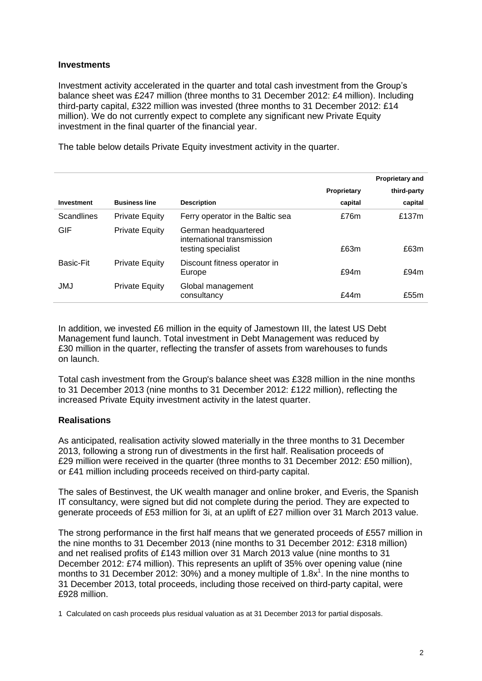## **Investments**

Investment activity accelerated in the quarter and total cash investment from the Group's balance sheet was £247 million (three months to 31 December 2012: £4 million). Including third-party capital, £322 million was invested (three months to 31 December 2012: £14 million). We do not currently expect to complete any significant new Private Equity investment in the final quarter of the financial year.

The table below details Private Equity investment activity in the quarter.

|                   |                       |                                                                          |             | <b>Proprietary and</b> |
|-------------------|-----------------------|--------------------------------------------------------------------------|-------------|------------------------|
|                   |                       |                                                                          | Proprietary | third-party            |
| Investment        | <b>Business line</b>  | <b>Description</b>                                                       | capital     | capital                |
| <b>Scandlines</b> | <b>Private Equity</b> | Ferry operator in the Baltic sea                                         | £76m        | £137m                  |
| GIF               | <b>Private Equity</b> | German headquartered<br>international transmission<br>testing specialist | £63m        | £63m                   |
| Basic-Fit         | <b>Private Equity</b> | Discount fitness operator in<br>Europe                                   | £94m        | £94m                   |
| <b>JMJ</b>        | <b>Private Equity</b> | Global management<br>consultancy                                         | f44m        | £55m                   |

In addition, we invested £6 million in the equity of Jamestown III, the latest US Debt Management fund launch. Total investment in Debt Management was reduced by £30 million in the quarter, reflecting the transfer of assets from warehouses to funds on launch.

Total cash investment from the Group's balance sheet was £328 million in the nine months to 31 December 2013 (nine months to 31 December 2012: £122 million), reflecting the increased Private Equity investment activity in the latest quarter.

# **Realisations**

As anticipated, realisation activity slowed materially in the three months to 31 December 2013, following a strong run of divestments in the first half. Realisation proceeds of £29 million were received in the quarter (three months to 31 December 2012: £50 million), or £41 million including proceeds received on third-party capital.

The sales of Bestinvest, the UK wealth manager and online broker, and Everis, the Spanish IT consultancy, were signed but did not complete during the period. They are expected to generate proceeds of £53 million for 3i, at an uplift of £27 million over 31 March 2013 value.

The strong performance in the first half means that we generated proceeds of £557 million in the nine months to 31 December 2013 (nine months to 31 December 2012: £318 million) and net realised profits of £143 million over 31 March 2013 value (nine months to 31 December 2012: £74 million). This represents an uplift of 35% over opening value (nine months to 31 December 2012: 30%) and a money multiple of 1.8 $x^1$ . In the nine months to 31 December 2013, total proceeds, including those received on third-party capital, were £928 million.

1 Calculated on cash proceeds plus residual valuation as at 31 December 2013 for partial disposals.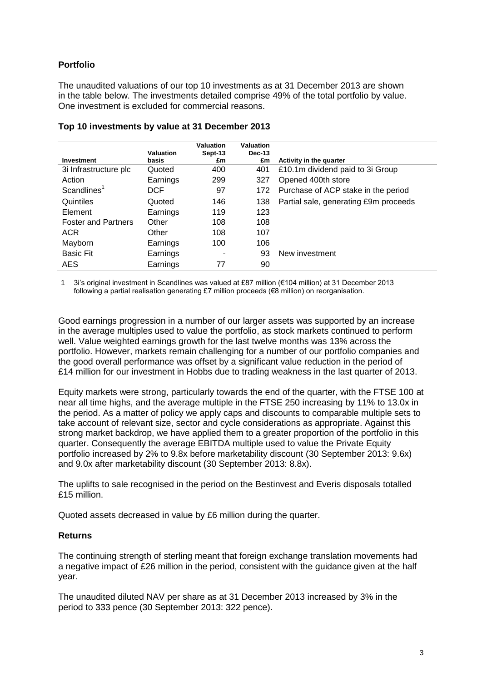# **Portfolio**

The unaudited valuations of our top 10 investments as at 31 December 2013 are shown in the table below. The investments detailed comprise 49% of the total portfolio by value. One investment is excluded for commercial reasons.

|                            | Valuation  | Valuation<br>Sept-13 | Valuation<br><b>Dec-13</b> |                                       |
|----------------------------|------------|----------------------|----------------------------|---------------------------------------|
| Investment                 | basis      | £m                   | £m                         | <b>Activity in the quarter</b>        |
| 3i Infrastructure plc      | Quoted     | 400                  | 401                        | £10.1m dividend paid to 3i Group      |
| Action                     | Earnings   | 299                  | 327                        | Opened 400th store                    |
| Scandlines <sup>1</sup>    | <b>DCF</b> | 97                   | 172                        | Purchase of ACP stake in the period   |
| Quintiles                  | Quoted     | 146                  | 138                        | Partial sale, generating £9m proceeds |
| Element                    | Earnings   | 119                  | 123                        |                                       |
| <b>Foster and Partners</b> | Other      | 108                  | 108                        |                                       |
| <b>ACR</b>                 | Other      | 108                  | 107                        |                                       |
| Mayborn                    | Earnings   | 100                  | 106                        |                                       |
| <b>Basic Fit</b>           | Earnings   | ۰                    | 93                         | New investment                        |
| AES.                       | Earnings   | 77                   | 90                         |                                       |

## **Top 10 investments by value at 31 December 2013**

1 3i's original investment in Scandlines was valued at £87 million (€104 million) at 31 December 2013 following a partial realisation generating £7 million proceeds (€8 million) on reorganisation.

Good earnings progression in a number of our larger assets was supported by an increase in the average multiples used to value the portfolio, as stock markets continued to perform well. Value weighted earnings growth for the last twelve months was 13% across the portfolio. However, markets remain challenging for a number of our portfolio companies and the good overall performance was offset by a significant value reduction in the period of £14 million for our investment in Hobbs due to trading weakness in the last quarter of 2013.

Equity markets were strong, particularly towards the end of the quarter, with the FTSE 100 at near all time highs, and the average multiple in the FTSE 250 increasing by 11% to 13.0x in the period. As a matter of policy we apply caps and discounts to comparable multiple sets to take account of relevant size, sector and cycle considerations as appropriate. Against this strong market backdrop, we have applied them to a greater proportion of the portfolio in this quarter. Consequently the average EBITDA multiple used to value the Private Equity portfolio increased by 2% to 9.8x before marketability discount (30 September 2013: 9.6x) and 9.0x after marketability discount (30 September 2013: 8.8x).

The uplifts to sale recognised in the period on the Bestinvest and Everis disposals totalled £15 million.

Quoted assets decreased in value by £6 million during the quarter.

# **Returns**

The continuing strength of sterling meant that foreign exchange translation movements had a negative impact of £26 million in the period, consistent with the guidance given at the half year.

The unaudited diluted NAV per share as at 31 December 2013 increased by 3% in the period to 333 pence (30 September 2013: 322 pence).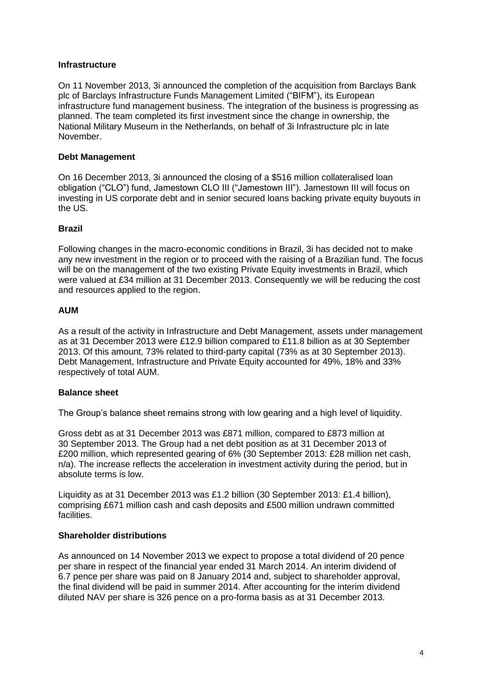# **Infrastructure**

On 11 November 2013, 3i announced the completion of the acquisition from Barclays Bank plc of Barclays Infrastructure Funds Management Limited ("BIFM"), its European infrastructure fund management business. The integration of the business is progressing as planned. The team completed its first investment since the change in ownership, the National Military Museum in the Netherlands, on behalf of 3i Infrastructure plc in late November.

#### **Debt Management**

On 16 December 2013, 3i announced the closing of a \$516 million collateralised loan obligation ("CLO") fund, Jamestown CLO III ("Jamestown III"). Jamestown III will focus on investing in US corporate debt and in senior secured loans backing private equity buyouts in the US.

#### **Brazil**

Following changes in the macro-economic conditions in Brazil, 3i has decided not to make any new investment in the region or to proceed with the raising of a Brazilian fund. The focus will be on the management of the two existing Private Equity investments in Brazil, which were valued at £34 million at 31 December 2013. Consequently we will be reducing the cost and resources applied to the region.

#### **AUM**

As a result of the activity in Infrastructure and Debt Management, assets under management as at 31 December 2013 were £12.9 billion compared to £11.8 billion as at 30 September 2013. Of this amount, 73% related to third-party capital (73% as at 30 September 2013). Debt Management, Infrastructure and Private Equity accounted for 49%, 18% and 33% respectively of total AUM.

# **Balance sheet**

The Group's balance sheet remains strong with low gearing and a high level of liquidity.

Gross debt as at 31 December 2013 was £871 million, compared to £873 million at 30 September 2013. The Group had a net debt position as at 31 December 2013 of £200 million, which represented gearing of 6% (30 September 2013: £28 million net cash, n/a). The increase reflects the acceleration in investment activity during the period, but in absolute terms is low.

Liquidity as at 31 December 2013 was £1.2 billion (30 September 2013: £1.4 billion), comprising £671 million cash and cash deposits and £500 million undrawn committed facilities.

#### **Shareholder distributions**

As announced on 14 November 2013 we expect to propose a total dividend of 20 pence per share in respect of the financial year ended 31 March 2014. An interim dividend of 6.7 pence per share was paid on 8 January 2014 and, subject to shareholder approval, the final dividend will be paid in summer 2014. After accounting for the interim dividend diluted NAV per share is 326 pence on a pro-forma basis as at 31 December 2013.